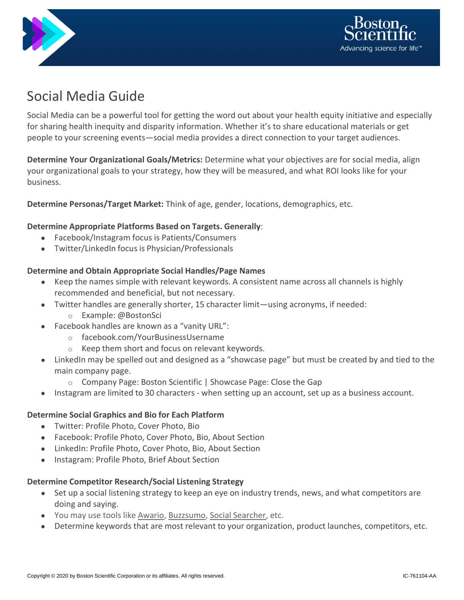



# Social Media Guide

Social Media can be a powerful tool for getting the word out about your health equity initiative and especially for sharing health inequity and disparity information. Whether it's to share educational materials or get people to your screening events—social media provides a direct connection to your target audiences.

**Determine Your Organizational Goals/Metrics:** Determine what your objectives are for social media, align your organizational goals to your strategy, how they will be measured, and what ROI looks like for your business.

**Determine Personas/Target Market:** Think of age, gender, locations, demographics, etc.

## **Determine Appropriate Platforms Based on Targets. Generally**:

- Facebook/Instagram focus is Patients/Consumers
- Twitter/LinkedIn focus is Physician/Professionals

#### **Determine and Obtain Appropriate Social Handles/Page Names**

- Keep the names simple with relevant keywords. A consistent name across all channels is highly recommended and beneficial, but not necessary.
- Twitter handles are generally shorter, 15 character limit—using acronyms, if needed:
	- o Example: @BostonSci
- Facebook handles are known as a "vanity URL":
	- o facebook.com/YourBusinessUsername
	- o Keep them short and focus on relevant keywords.
- LinkedIn may be spelled out and designed as a "showcase page" but must be created by and tied to the main company page.
	- o Company Page: Boston Scientific | Showcase Page: Close the Gap
- Instagram are limited to 30 characters when setting up an account, set up as a business account.

#### **Determine Social Graphics and Bio for Each Platform**

- Twitter: Profile Photo, Cover Photo, Bio
- Facebook: Profile Photo, Cover Photo, Bio, About Section
- LinkedIn: Profile Photo, Cover Photo, Bio, About Section
- Instagram: Profile Photo, Brief About Section

#### **Determine Competitor Research/Social Listening Strategy**

- Set up a social listening strategy to keep an eye on industry trends, news, and what competitors are doing and saying.
- You may use tools like Awario, Buzzsumo, Social Searcher, etc.
- Determine keywords that are most relevant to your organization, product launches, competitors, etc.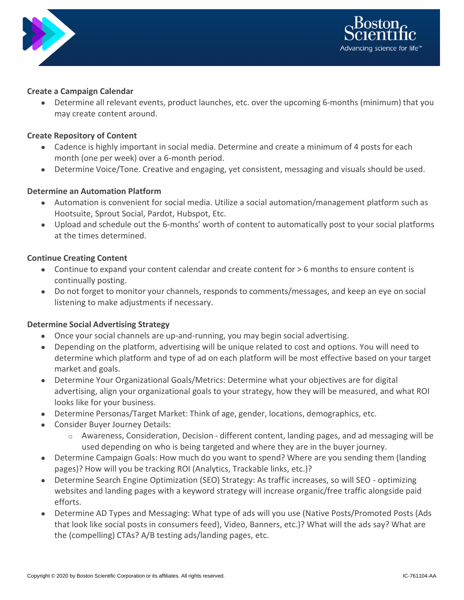



### **Create a Campaign Calendar**

Determine all relevant events, product launches, etc. over the upcoming 6-months (minimum) that you may create content around.

# **Create Repository of Content**

- Cadence is highly important in social media. Determine and create a minimum of 4 posts for each month (one per week) over a 6-month period.
- Determine Voice/Tone. Creative and engaging, yet consistent, messaging and visuals should be used.

# **Determine an Automation Platform**

- Automation is convenient for social media. Utilize a social automation/management platform such as Hootsuite, Sprout Social, Pardot, Hubspot, Etc.
- Upload and schedule out the 6-months' worth of content to automatically post to your social platforms at the times determined.

## **Continue Creating Content**

- Continue to expand your content calendar and create content for > 6 months to ensure content is continually posting.
- Do not forget to monitor your channels, responds to comments/messages, and keep an eye on social listening to make adjustments if necessary.

# **Determine Social Advertising Strategy**

- Once your social channels are up-and-running, you may begin social advertising.
- Depending on the platform, advertising will be unique related to cost and options. You will need to determine which platform and type of ad on each platform will be most effective based on your target market and goals.
- Determine Your Organizational Goals/Metrics: Determine what your objectives are for digital advertising, align your organizational goals to your strategy, how they will be measured, and what ROI looks like for your business.
- Determine Personas/Target Market: Think of age, gender, locations, demographics, etc.
- Consider Buyer Journey Details:
	- $\circ$  Awareness, Consideration, Decision different content, landing pages, and ad messaging will be used depending on who is being targeted and where they are in the buyer journey.
- Determine Campaign Goals: How much do you want to spend? Where are you sending them (landing pages)? How will you be tracking ROI (Analytics, Trackable links, etc.)?
- Determine Search Engine Optimization (SEO) Strategy: As traffic increases, so will SEO optimizing websites and landing pages with a keyword strategy will increase organic/free traffic alongside paid efforts.
- Determine AD Types and Messaging: What type of ads will you use (Native Posts/Promoted Posts (Ads that look like social posts in consumers feed), Video, Banners, etc.)? What will the ads say? What are the (compelling) CTAs? A/B testing ads/landing pages, etc.